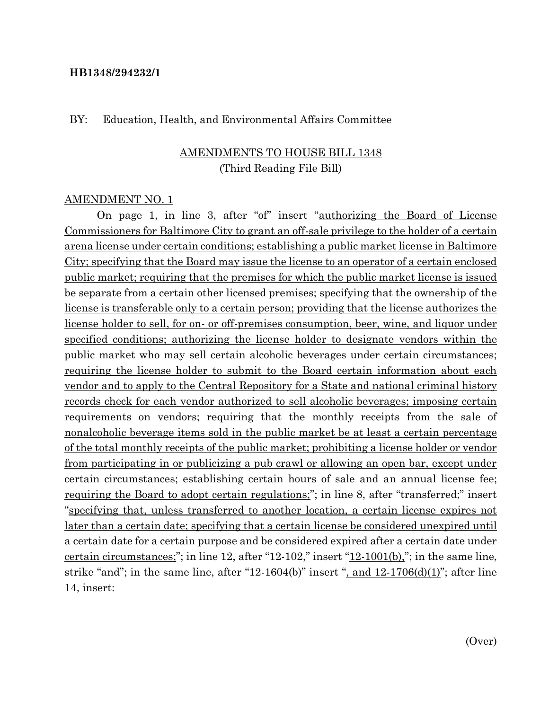#### **HB1348/294232/1**

#### BY: Education, Health, and Environmental Affairs Committee

### AMENDMENTS TO HOUSE BILL 1348 (Third Reading File Bill)

#### AMENDMENT NO. 1

On page 1, in line 3, after "of" insert "authorizing the Board of License Commissioners for Baltimore City to grant an off-sale privilege to the holder of a certain arena license under certain conditions; establishing a public market license in Baltimore City; specifying that the Board may issue the license to an operator of a certain enclosed public market; requiring that the premises for which the public market license is issued be separate from a certain other licensed premises; specifying that the ownership of the license is transferable only to a certain person; providing that the license authorizes the license holder to sell, for on- or off-premises consumption, beer, wine, and liquor under specified conditions; authorizing the license holder to designate vendors within the public market who may sell certain alcoholic beverages under certain circumstances; requiring the license holder to submit to the Board certain information about each vendor and to apply to the Central Repository for a State and national criminal history records check for each vendor authorized to sell alcoholic beverages; imposing certain requirements on vendors; requiring that the monthly receipts from the sale of nonalcoholic beverage items sold in the public market be at least a certain percentage of the total monthly receipts of the public market; prohibiting a license holder or vendor from participating in or publicizing a pub crawl or allowing an open bar, except under certain circumstances; establishing certain hours of sale and an annual license fee; requiring the Board to adopt certain regulations;"; in line 8, after "transferred;" insert "specifying that, unless transferred to another location, a certain license expires not later than a certain date; specifying that a certain license be considered unexpired until a certain date for a certain purpose and be considered expired after a certain date under certain circumstances;"; in line 12, after "12-102," insert " $12$ -1001(b),"; in the same line, strike "and"; in the same line, after "12-1604(b)" insert ", and  $12-1706(d)(1)$ "; after line 14, insert: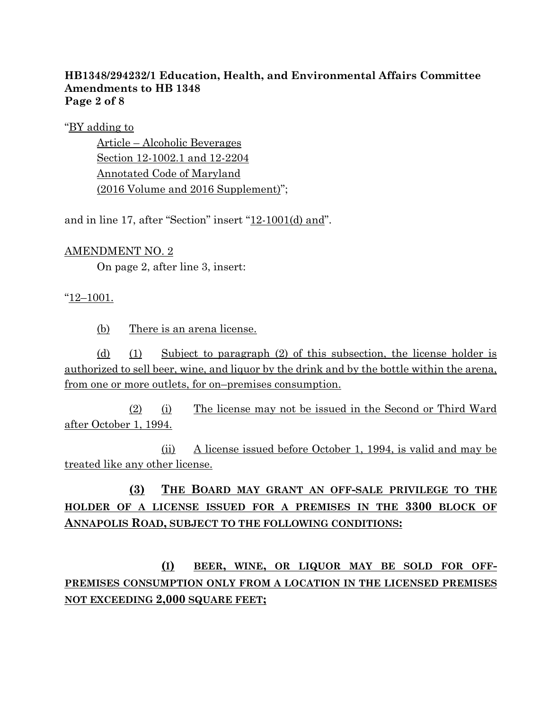#### **HB1348/294232/1 Education, Health, and Environmental Affairs Committee Amendments to HB 1348 Page 2 of 8**

"BY adding to

Article – Alcoholic Beverages Section 12-1002.1 and 12-2204 Annotated Code of Maryland (2016 Volume and 2016 Supplement)";

and in line 17, after "Section" insert "12-1001(d) and".

### AMENDMENT NO. 2

On page 2, after line 3, insert:

### "12–1001.

(b) There is an arena license.

(d) (1) Subject to paragraph (2) of this subsection, the license holder is authorized to sell beer, wine, and liquor by the drink and by the bottle within the arena, from one or more outlets, for on–premises consumption.

(2) (i) The license may not be issued in the Second or Third Ward after October 1, 1994.

(ii) A license issued before October 1, 1994, is valid and may be treated like any other license.

## **(3) THE BOARD MAY GRANT AN OFF-SALE PRIVILEGE TO THE HOLDER OF A LICENSE ISSUED FOR A PREMISES IN THE 3300 BLOCK OF ANNAPOLIS ROAD, SUBJECT TO THE FOLLOWING CONDITIONS:**

**(I) BEER, WINE, OR LIQUOR MAY BE SOLD FOR OFF-PREMISES CONSUMPTION ONLY FROM A LOCATION IN THE LICENSED PREMISES NOT EXCEEDING 2,000 SQUARE FEET;**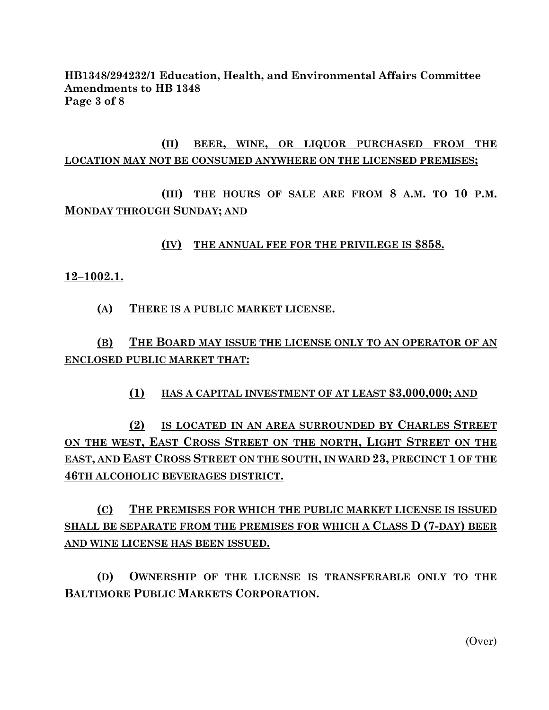**HB1348/294232/1 Education, Health, and Environmental Affairs Committee Amendments to HB 1348 Page 3 of 8**

## **(II) BEER, WINE, OR LIQUOR PURCHASED FROM THE LOCATION MAY NOT BE CONSUMED ANYWHERE ON THE LICENSED PREMISES;**

## **(III) THE HOURS OF SALE ARE FROM 8 A.M. TO 10 P.M. MONDAY THROUGH SUNDAY; AND**

#### **(IV) THE ANNUAL FEE FOR THE PRIVILEGE IS \$858.**

**12–1002.1.**

**(A) THERE IS A PUBLIC MARKET LICENSE.**

## **(B) THE BOARD MAY ISSUE THE LICENSE ONLY TO AN OPERATOR OF AN ENCLOSED PUBLIC MARKET THAT:**

**(1) HAS A CAPITAL INVESTMENT OF AT LEAST \$3,000,000; AND**

**(2) IS LOCATED IN AN AREA SURROUNDED BY CHARLES STREET ON THE WEST, EAST CROSS STREET ON THE NORTH, LIGHT STREET ON THE EAST, AND EAST CROSS STREET ON THE SOUTH, IN WARD 23, PRECINCT 1 OF THE 46TH ALCOHOLIC BEVERAGES DISTRICT.**

**(C) THE PREMISES FOR WHICH THE PUBLIC MARKET LICENSE IS ISSUED SHALL BE SEPARATE FROM THE PREMISES FOR WHICH A CLASS D (7-DAY) BEER AND WINE LICENSE HAS BEEN ISSUED.**

**(D) OWNERSHIP OF THE LICENSE IS TRANSFERABLE ONLY TO THE BALTIMORE PUBLIC MARKETS CORPORATION.**

(Over)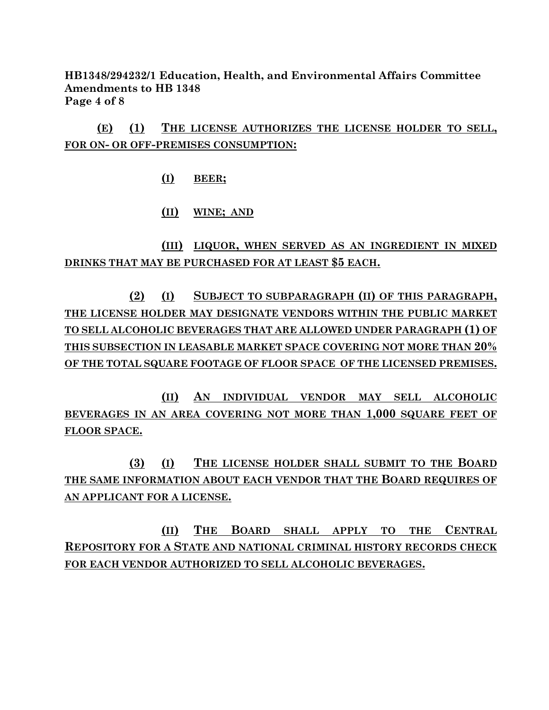**HB1348/294232/1 Education, Health, and Environmental Affairs Committee Amendments to HB 1348 Page 4 of 8**

**(E) (1) THE LICENSE AUTHORIZES THE LICENSE HOLDER TO SELL, FOR ON- OR OFF-PREMISES CONSUMPTION:**

**(I) BEER;**

#### **(II) WINE; AND**

**(III) LIQUOR, WHEN SERVED AS AN INGREDIENT IN MIXED DRINKS THAT MAY BE PURCHASED FOR AT LEAST \$5 EACH.**

**(2) (I) SUBJECT TO SUBPARAGRAPH (II) OF THIS PARAGRAPH, THE LICENSE HOLDER MAY DESIGNATE VENDORS WITHIN THE PUBLIC MARKET TO SELL ALCOHOLIC BEVERAGES THAT ARE ALLOWED UNDER PARAGRAPH (1) OF THIS SUBSECTION IN LEASABLE MARKET SPACE COVERING NOT MORE THAN 20% OF THE TOTAL SQUARE FOOTAGE OF FLOOR SPACE OF THE LICENSED PREMISES.**

**(II) AN INDIVIDUAL VENDOR MAY SELL ALCOHOLIC BEVERAGES IN AN AREA COVERING NOT MORE THAN 1,000 SQUARE FEET OF FLOOR SPACE.**

**(3) (I) THE LICENSE HOLDER SHALL SUBMIT TO THE BOARD THE SAME INFORMATION ABOUT EACH VENDOR THAT THE BOARD REQUIRES OF AN APPLICANT FOR A LICENSE.**

**(II) THE BOARD SHALL APPLY TO THE CENTRAL REPOSITORY FOR A STATE AND NATIONAL CRIMINAL HISTORY RECORDS CHECK FOR EACH VENDOR AUTHORIZED TO SELL ALCOHOLIC BEVERAGES.**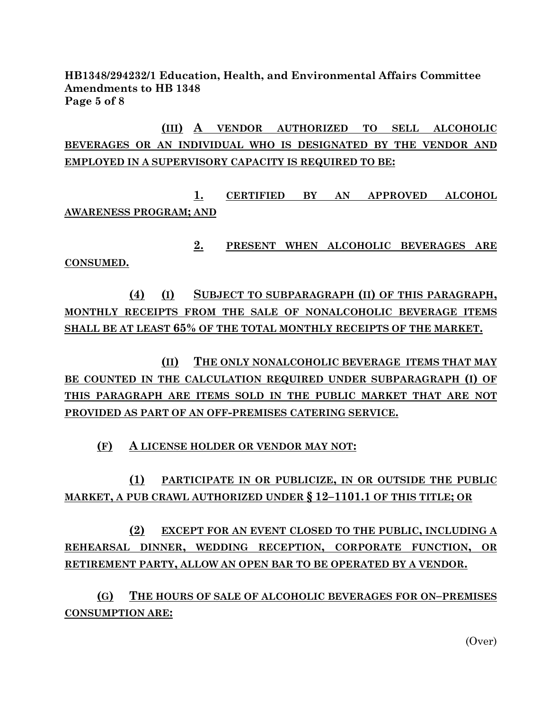**HB1348/294232/1 Education, Health, and Environmental Affairs Committee Amendments to HB 1348 Page 5 of 8**

**(III) A VENDOR AUTHORIZED TO SELL ALCOHOLIC BEVERAGES OR AN INDIVIDUAL WHO IS DESIGNATED BY THE VENDOR AND EMPLOYED IN A SUPERVISORY CAPACITY IS REQUIRED TO BE:**

**1. CERTIFIED BY AN APPROVED ALCOHOL AWARENESS PROGRAM; AND**

**2. PRESENT WHEN ALCOHOLIC BEVERAGES ARE CONSUMED.**

**(4) (I) SUBJECT TO SUBPARAGRAPH (II) OF THIS PARAGRAPH, MONTHLY RECEIPTS FROM THE SALE OF NONALCOHOLIC BEVERAGE ITEMS SHALL BE AT LEAST 65% OF THE TOTAL MONTHLY RECEIPTS OF THE MARKET.**

**(II) THE ONLY NONALCOHOLIC BEVERAGE ITEMS THAT MAY BE COUNTED IN THE CALCULATION REQUIRED UNDER SUBPARAGRAPH (I) OF THIS PARAGRAPH ARE ITEMS SOLD IN THE PUBLIC MARKET THAT ARE NOT PROVIDED AS PART OF AN OFF-PREMISES CATERING SERVICE.**

**(F) A LICENSE HOLDER OR VENDOR MAY NOT:**

**(1) PARTICIPATE IN OR PUBLICIZE, IN OR OUTSIDE THE PUBLIC MARKET, A PUB CRAWL AUTHORIZED UNDER § 12–1101.1 OF THIS TITLE; OR**

**(2) EXCEPT FOR AN EVENT CLOSED TO THE PUBLIC, INCLUDING A REHEARSAL DINNER, WEDDING RECEPTION, CORPORATE FUNCTION, OR RETIREMENT PARTY, ALLOW AN OPEN BAR TO BE OPERATED BY A VENDOR.**

**(G) THE HOURS OF SALE OF ALCOHOLIC BEVERAGES FOR ON–PREMISES CONSUMPTION ARE:**

(Over)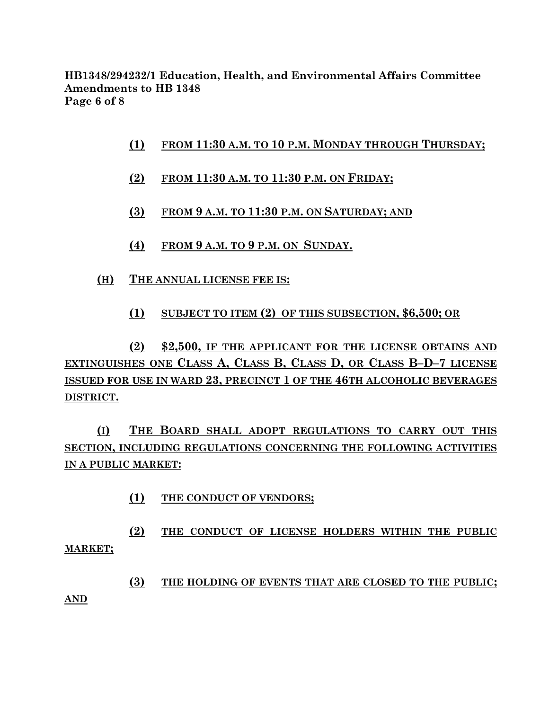**HB1348/294232/1 Education, Health, and Environmental Affairs Committee Amendments to HB 1348 Page 6 of 8**

- **(1) FROM 11:30 A.M. TO 10 P.M. MONDAY THROUGH THURSDAY;**
- **(2) FROM 11:30 A.M. TO 11:30 P.M. ON FRIDAY;**
- **(3) FROM 9 A.M. TO 11:30 P.M. ON SATURDAY; AND**
- **(4) FROM 9 A.M. TO 9 P.M. ON SUNDAY.**
- **(H) THE ANNUAL LICENSE FEE IS:**
	- **(1) SUBJECT TO ITEM (2) OF THIS SUBSECTION, \$6,500; OR**

**(2) \$2,500, IF THE APPLICANT FOR THE LICENSE OBTAINS AND EXTINGUISHES ONE CLASS A, CLASS B, CLASS D, OR CLASS B–D–7 LICENSE ISSUED FOR USE IN WARD 23, PRECINCT 1 OF THE 46TH ALCOHOLIC BEVERAGES DISTRICT.**

**(I) THE BOARD SHALL ADOPT REGULATIONS TO CARRY OUT THIS SECTION, INCLUDING REGULATIONS CONCERNING THE FOLLOWING ACTIVITIES IN A PUBLIC MARKET:**

**(1) THE CONDUCT OF VENDORS;**

**(2) THE CONDUCT OF LICENSE HOLDERS WITHIN THE PUBLIC MARKET;**

**(3) THE HOLDING OF EVENTS THAT ARE CLOSED TO THE PUBLIC;**

**AND**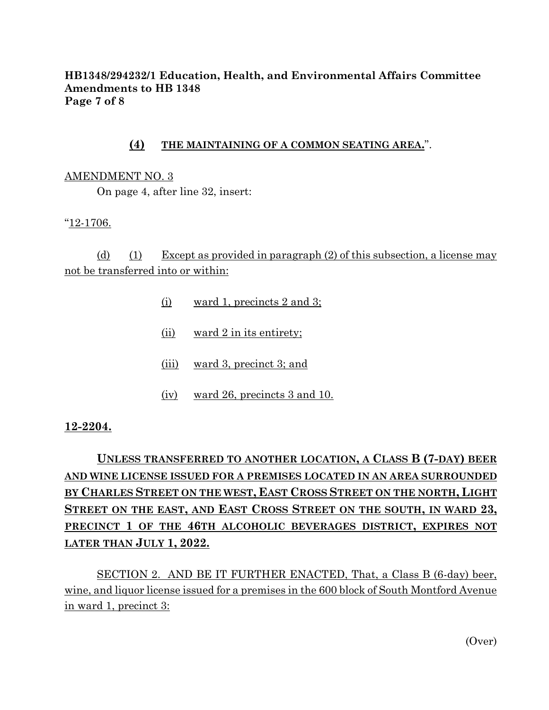#### **HB1348/294232/1 Education, Health, and Environmental Affairs Committee Amendments to HB 1348 Page 7 of 8**

#### **(4) THE MAINTAINING OF A COMMON SEATING AREA.**".

#### AMENDMENT NO. 3

On page 4, after line 32, insert:

"12-1706.

(d) (1) Except as provided in paragraph (2) of this subsection, a license may not be transferred into or within:

- (i) ward 1, precincts 2 and 3;
- (ii) ward 2 in its entirety;
- (iii) ward 3, precinct 3; and
- (iv) ward 26, precincts 3 and 10.

#### **12-2204.**

# **UNLESS TRANSFERRED TO ANOTHER LOCATION, A CLASS B (7-DAY) BEER AND WINE LICENSE ISSUED FOR A PREMISES LOCATED IN AN AREA SURROUNDED BY CHARLES STREET ON THE WEST, EAST CROSS STREET ON THE NORTH, LIGHT STREET ON THE EAST, AND EAST CROSS STREET ON THE SOUTH, IN WARD 23, PRECINCT 1 OF THE 46TH ALCOHOLIC BEVERAGES DISTRICT, EXPIRES NOT LATER THAN JULY 1, 2022.**

SECTION 2. AND BE IT FURTHER ENACTED, That, a Class B (6-day) beer, wine, and liquor license issued for a premises in the 600 block of South Montford Avenue in ward 1, precinct 3:

(Over)